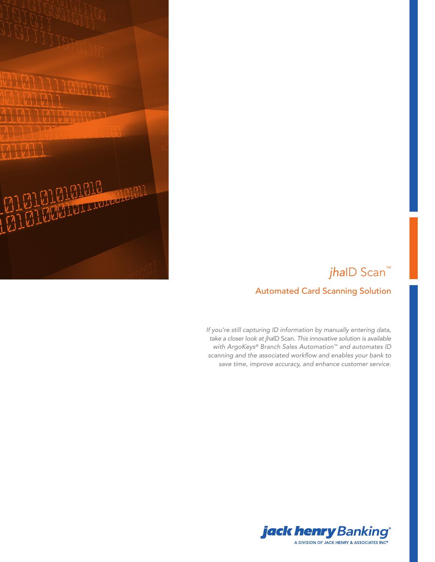

# *jha*ID Scan™ Automated Card Scanning Solution

*If you're still capturing ID information by manually entering data, take a closer look at jha*ID Scan*. This innovative solution is available with ArgoKeys® Branch Sales Automation™ and automates ID scanning and the associated workflow and enables your bank to save time, improve accuracy, and enhance customer service.*